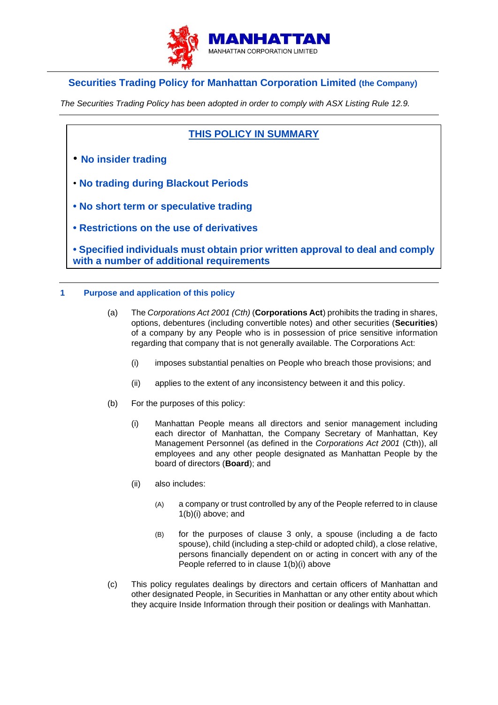

# **Securities Trading Policy for Manhattan Corporation Limited (the Company)**

*The Securities Trading Policy has been adopted in order to comply with ASX Listing Rule 12.9.*

## **THIS POLICY IN SUMMARY**

- **No insider trading**
- **No trading during Blackout Periods**
- **No short term or speculative trading**
- **Restrictions on the use of derivatives**

**• Specified individuals must obtain prior written approval to deal and comply with a number of additional requirements**

### **1 Purpose and application of this policy**

- (a) The *Corporations Act 2001 (Cth)* (**Corporations Act**) prohibits the trading in shares, options, debentures (including convertible notes) and other securities (**Securities**) of a company by any People who is in possession of price sensitive information regarding that company that is not generally available. The Corporations Act:
	- (i) imposes substantial penalties on People who breach those provisions; and
	- (ii) applies to the extent of any inconsistency between it and this policy.
- <span id="page-0-0"></span>(b) For the purposes of this policy:
	- (i) Manhattan People means all directors and senior management including each director of Manhattan, the Company Secretary of Manhattan, Key Management Personnel (as defined in the *Corporations Act 2001* (Cth)), all employees and any other people designated as Manhattan People by the board of directors (**Board**); and
	- (ii) also includes:
		- (A) a company or trust controlled by any of the People referred to in clause [1\(b\)\(i\)](#page-0-0) above; and
		- (B) for the purposes of clause [3](#page-2-0) only, a spouse (including a de facto spouse), child (including a step-child or adopted child), a close relative, persons financially dependent on or acting in concert with any of the People referred to in clause [1\(b\)\(i\)](#page-0-0) above
- (c) This policy regulates dealings by directors and certain officers of Manhattan and other designated People, in Securities in Manhattan or any other entity about which they acquire Inside Information through their position or dealings with Manhattan.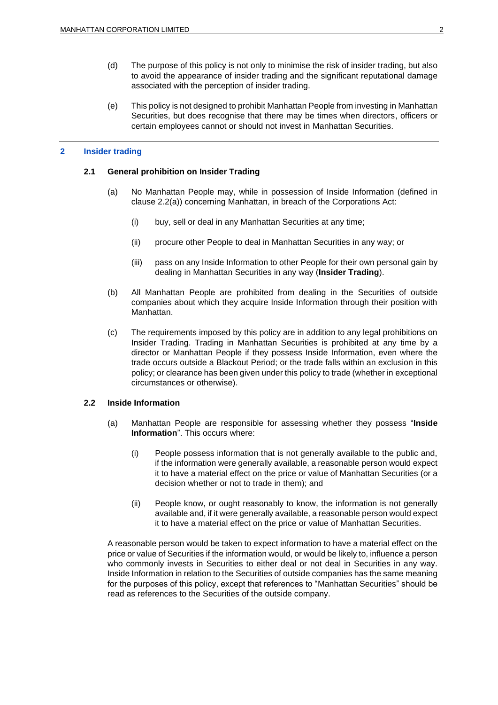- (d) The purpose of this policy is not only to minimise the risk of insider trading, but also to avoid the appearance of insider trading and the significant reputational damage associated with the perception of insider trading.
- (e) This policy is not designed to prohibit Manhattan People from investing in Manhattan Securities, but does recognise that there may be times when directors, officers or certain employees cannot or should not invest in Manhattan Securities.

#### **2 Insider trading**

### **2.1 General prohibition on Insider Trading**

- (a) No Manhattan People may, while in possession of Inside Information (defined in clause [2.2\(a\)\)](#page-1-0) concerning Manhattan, in breach of the Corporations Act:
	- (i) buy, sell or deal in any Manhattan Securities at any time;
	- (ii) procure other People to deal in Manhattan Securities in any way; or
	- (iii) pass on any Inside Information to other People for their own personal gain by dealing in Manhattan Securities in any way (**Insider Trading**).
- (b) All Manhattan People are prohibited from dealing in the Securities of outside companies about which they acquire Inside Information through their position with Manhattan.
- (c) The requirements imposed by this policy are in addition to any legal prohibitions on Insider Trading. Trading in Manhattan Securities is prohibited at any time by a director or Manhattan People if they possess Inside Information, even where the trade occurs outside a Blackout Period; or the trade falls within an exclusion in this policy; or clearance has been given under this policy to trade (whether in exceptional circumstances or otherwise).

### <span id="page-1-0"></span>**2.2 Inside Information**

- (a) Manhattan People are responsible for assessing whether they possess "**Inside Information**". This occurs where:
	- (i) People possess information that is not generally available to the public and, if the information were generally available, a reasonable person would expect it to have a material effect on the price or value of Manhattan Securities (or a decision whether or not to trade in them); and
	- (ii) People know, or ought reasonably to know, the information is not generally available and, if it were generally available, a reasonable person would expect it to have a material effect on the price or value of Manhattan Securities.

A reasonable person would be taken to expect information to have a material effect on the price or value of Securities if the information would, or would be likely to, influence a person who commonly invests in Securities to either deal or not deal in Securities in any way. Inside Information in relation to the Securities of outside companies has the same meaning for the purposes of this policy, except that references to "Manhattan Securities" should be read as references to the Securities of the outside company.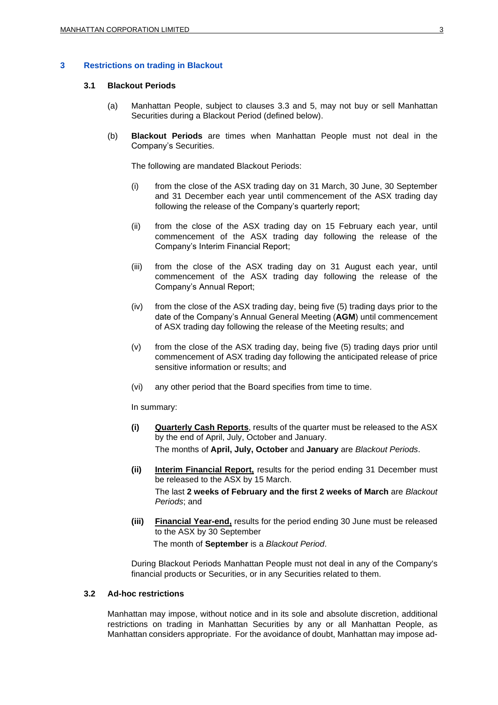### <span id="page-2-0"></span>**3 Restrictions on trading in Blackout**

### **3.1 Blackout Periods**

- (a) Manhattan People, subject to clauses [3.3](#page-3-0) and [5,](#page-5-0) may not buy or sell Manhattan Securities during a Blackout Period (defined below).
- (b) **Blackout Periods** are times when Manhattan People must not deal in the Company's Securities.

The following are mandated Blackout Periods:

- (i) from the close of the ASX trading day on 31 March, 30 June, 30 September and 31 December each year until commencement of the ASX trading day following the release of the Company's quarterly report;
- (ii) from the close of the ASX trading day on 15 February each year, until commencement of the ASX trading day following the release of the Company's Interim Financial Report;
- (iii) from the close of the ASX trading day on 31 August each year, until commencement of the ASX trading day following the release of the Company's Annual Report;
- (iv) from the close of the ASX trading day, being five (5) trading days prior to the date of the Company's Annual General Meeting (**AGM**) until commencement of ASX trading day following the release of the Meeting results; and
- (v) from the close of the ASX trading day, being five (5) trading days prior until commencement of ASX trading day following the anticipated release of price sensitive information or results; and
- (vi) any other period that the Board specifies from time to time.

In summary:

- **(i) Quarterly Cash Reports**, results of the quarter must be released to the ASX by the end of April, July, October and January. The months of **April, July, October** and **January** are *Blackout Periods*.
- **(ii) Interim Financial Report,** results for the period ending 31 December must be released to the ASX by 15 March. The last **2 weeks of February and the first 2 weeks of March** are *Blackout Periods*; and
- **(iii) Financial Year-end,** results for the period ending 30 June must be released to the ASX by 30 September

The month of **September** is a *Blackout Period*.

During Blackout Periods Manhattan People must not deal in any of the Company's financial products or Securities, or in any Securities related to them.

### <span id="page-2-1"></span>**3.2 Ad-hoc restrictions**

Manhattan may impose, without notice and in its sole and absolute discretion, additional restrictions on trading in Manhattan Securities by any or all Manhattan People, as Manhattan considers appropriate. For the avoidance of doubt, Manhattan may impose ad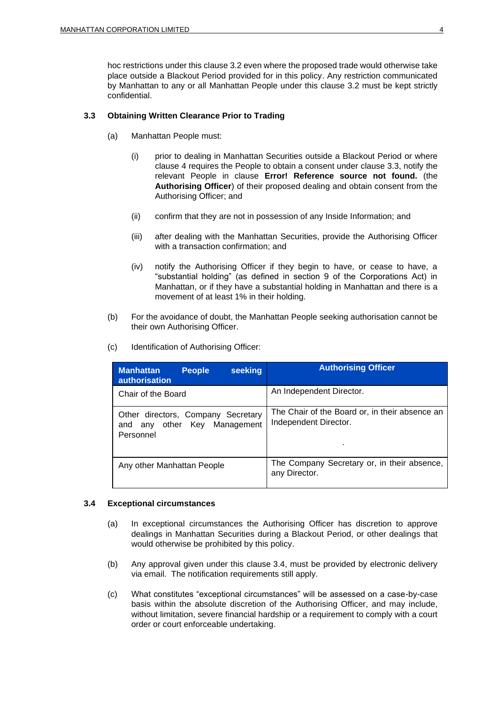hoc restrictions under this clause [3.2](#page-2-1) even where the proposed trade would otherwise take place outside a Blackout Period provided for in this policy. Any restriction communicated by Manhattan to any or all Manhattan People under this clause [3.2](#page-2-1) must be kept strictly confidential.

### <span id="page-3-0"></span>**3.3 Obtaining Written Clearance Prior to Trading**

- (a) Manhattan People must:
	- (i) prior to dealing in Manhattan Securities outside a Blackout Period or where clause [4](#page-4-0) requires the People to obtain a consent under clause [3.3,](#page-3-0) notify the relevant People in clause **Error! Reference source not found.** (the **Authorising Officer**) of their proposed dealing and obtain consent from the Authorising Officer; and
	- (ii) confirm that they are not in possession of any Inside Information; and
	- (iii) after dealing with the Manhattan Securities, provide the Authorising Officer with a transaction confirmation; and
	- (iv) notify the Authorising Officer if they begin to have, or cease to have, a "substantial holding" (as defined in section 9 of the Corporations Act) in Manhattan, or if they have a substantial holding in Manhattan and there is a movement of at least 1% in their holding.
- (b) For the avoidance of doubt, the Manhattan People seeking authorisation cannot be their own Authorising Officer.
- (c) Identification of Authorising Officer:

| <b>People</b><br>seeking<br><b>Manhattan</b><br><b>authorisation</b>               | <b>Authorising Officer</b>                                                   |
|------------------------------------------------------------------------------------|------------------------------------------------------------------------------|
| Chair of the Board                                                                 | An Independent Director.                                                     |
| Other directors, Company Secretary<br>any other Key Management<br>and<br>Personnel | The Chair of the Board or, in their absence an<br>Independent Director.<br>٠ |
| Any other Manhattan People                                                         | The Company Secretary or, in their absence,<br>any Director.                 |

### <span id="page-3-1"></span>**3.4 Exceptional circumstances**

- (a) In exceptional circumstances the Authorising Officer has discretion to approve dealings in Manhattan Securities during a Blackout Period, or other dealings that would otherwise be prohibited by this policy.
- (b) Any approval given under this clause [3.4,](#page-3-1) must be provided by electronic delivery via email. The notification requirements still apply.
- (c) What constitutes "exceptional circumstances" will be assessed on a case-by-case basis within the absolute discretion of the Authorising Officer, and may include, without limitation, severe financial hardship or a requirement to comply with a court order or court enforceable undertaking.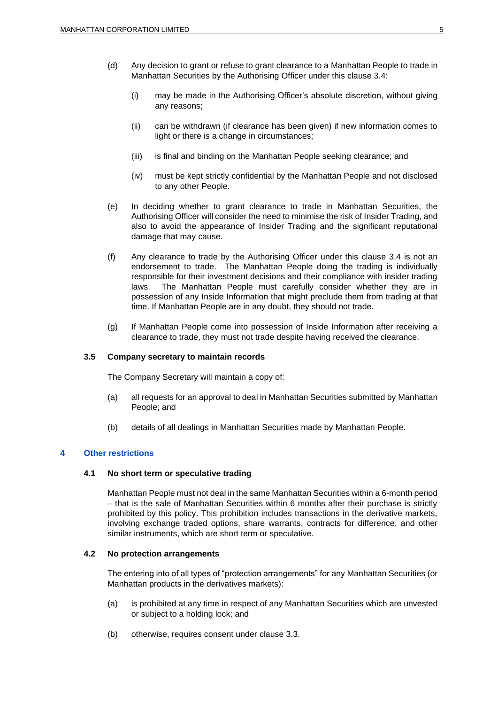- (d) Any decision to grant or refuse to grant clearance to a Manhattan People to trade in Manhattan Securities by the Authorising Officer under this clause [3.4:](#page-3-1)
	- (i) may be made in the Authorising Officer's absolute discretion, without giving any reasons;
	- (ii) can be withdrawn (if clearance has been given) if new information comes to light or there is a change in circumstances;
	- (iii) is final and binding on the Manhattan People seeking clearance; and
	- (iv) must be kept strictly confidential by the Manhattan People and not disclosed to any other People.
- (e) In deciding whether to grant clearance to trade in Manhattan Securities, the Authorising Officer will consider the need to minimise the risk of Insider Trading, and also to avoid the appearance of Insider Trading and the significant reputational damage that may cause.
- (f) Any clearance to trade by the Authorising Officer under this clause [3.4](#page-3-1) is not an endorsement to trade. The Manhattan People doing the trading is individually responsible for their investment decisions and their compliance with insider trading laws. The Manhattan People must carefully consider whether they are in possession of any Inside Information that might preclude them from trading at that time. If Manhattan People are in any doubt, they should not trade.
- (g) If Manhattan People come into possession of Inside Information after receiving a clearance to trade, they must not trade despite having received the clearance.

### **3.5 Company secretary to maintain records**

The Company Secretary will maintain a copy of:

- (a) all requests for an approval to deal in Manhattan Securities submitted by Manhattan People; and
- (b) details of all dealings in Manhattan Securities made by Manhattan People.

### <span id="page-4-0"></span>**4 Other restrictions**

### **4.1 No short term or speculative trading**

Manhattan People must not deal in the same Manhattan Securities within a 6-month period – that is the sale of Manhattan Securities within 6 months after their purchase is strictly prohibited by this policy. This prohibition includes transactions in the derivative markets, involving exchange traded options, share warrants, contracts for difference, and other similar instruments, which are short term or speculative.

### **4.2 No protection arrangements**

The entering into of all types of "protection arrangements" for any Manhattan Securities (or Manhattan products in the derivatives markets):

- (a) is prohibited at any time in respect of any Manhattan Securities which are unvested or subject to a holding lock; and
- (b) otherwise, requires consent under clause [3.3.](#page-3-0)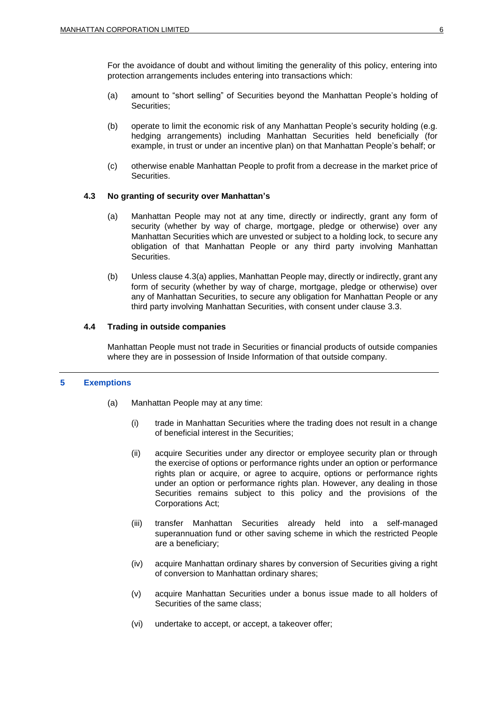For the avoidance of doubt and without limiting the generality of this policy, entering into protection arrangements includes entering into transactions which:

- (a) amount to "short selling" of Securities beyond the Manhattan People's holding of Securities;
- (b) operate to limit the economic risk of any Manhattan People's security holding (e.g. hedging arrangements) including Manhattan Securities held beneficially (for example, in trust or under an incentive plan) on that Manhattan People's behalf; or
- (c) otherwise enable Manhattan People to profit from a decrease in the market price of Securities.

### <span id="page-5-1"></span>**4.3 No granting of security over Manhattan's**

- (a) Manhattan People may not at any time, directly or indirectly, grant any form of security (whether by way of charge, mortgage, pledge or otherwise) over any Manhattan Securities which are unvested or subject to a holding lock, to secure any obligation of that Manhattan People or any third party involving Manhattan Securities.
- (b) Unless clause [4.3\(a\)](#page-5-1) applies, Manhattan People may, directly or indirectly, grant any form of security (whether by way of charge, mortgage, pledge or otherwise) over any of Manhattan Securities, to secure any obligation for Manhattan People or any third party involving Manhattan Securities, with consent under clause [3.3.](#page-3-0)

### **4.4 Trading in outside companies**

Manhattan People must not trade in Securities or financial products of outside companies where they are in possession of Inside Information of that outside company.

### <span id="page-5-2"></span><span id="page-5-0"></span>**5 Exemptions**

- (a) Manhattan People may at any time:
	- (i) trade in Manhattan Securities where the trading does not result in a change of beneficial interest in the Securities;
	- (ii) acquire Securities under any director or employee security plan or through the exercise of options or performance rights under an option or performance rights plan or acquire, or agree to acquire, options or performance rights under an option or performance rights plan. However, any dealing in those Securities remains subject to this policy and the provisions of the Corporations Act;
	- (iii) transfer Manhattan Securities already held into a self-managed superannuation fund or other saving scheme in which the restricted People are a beneficiary;
	- (iv) acquire Manhattan ordinary shares by conversion of Securities giving a right of conversion to Manhattan ordinary shares;
	- (v) acquire Manhattan Securities under a bonus issue made to all holders of Securities of the same class;
	- (vi) undertake to accept, or accept, a takeover offer;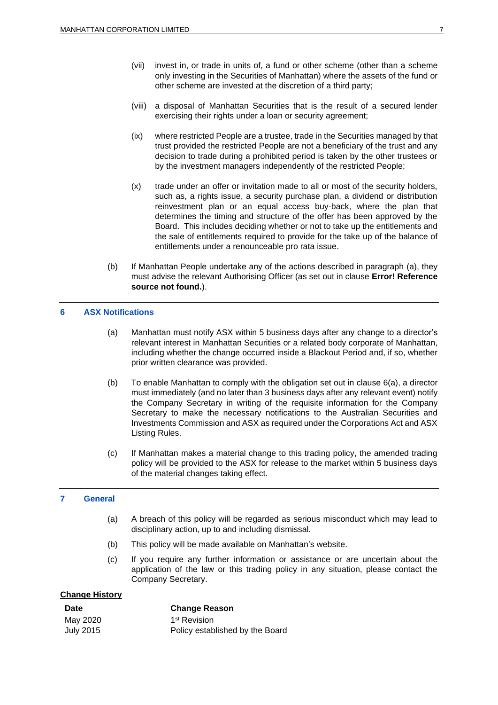- (vii) invest in, or trade in units of, a fund or other scheme (other than a scheme only investing in the Securities of Manhattan) where the assets of the fund or other scheme are invested at the discretion of a third party;
- (viii) a disposal of Manhattan Securities that is the result of a secured lender exercising their rights under a loan or security agreement;
- (ix) where restricted People are a trustee, trade in the Securities managed by that trust provided the restricted People are not a beneficiary of the trust and any decision to trade during a prohibited period is taken by the other trustees or by the investment managers independently of the restricted People;
- (x) trade under an offer or invitation made to all or most of the security holders, such as, a rights issue, a security purchase plan, a dividend or distribution reinvestment plan or an equal access buy-back, where the plan that determines the timing and structure of the offer has been approved by the Board. This includes deciding whether or not to take up the entitlements and the sale of entitlements required to provide for the take up of the balance of entitlements under a renounceable pro rata issue.
- (b) If Manhattan People undertake any of the actions described in paragraph [\(a\),](#page-5-2) they must advise the relevant Authorising Officer (as set out in clause **Error! Reference source not found.**).

### <span id="page-6-0"></span>**6 ASX Notifications**

- (a) Manhattan must notify ASX within 5 business days after any change to a director's relevant interest in Manhattan Securities or a related body corporate of Manhattan, including whether the change occurred inside a Blackout Period and, if so, whether prior written clearance was provided.
- (b) To enable Manhattan to comply with the obligation set out in clause [6\(a\),](#page-6-0) a director must immediately (and no later than 3 business days after any relevant event) notify the Company Secretary in writing of the requisite information for the Company Secretary to make the necessary notifications to the Australian Securities and Investments Commission and ASX as required under the Corporations Act and ASX Listing Rules.
- (c) If Manhattan makes a material change to this trading policy, the amended trading policy will be provided to the ASX for release to the market within 5 business days of the material changes taking effect.

### **7 General**

- (a) A breach of this policy will be regarded as serious misconduct which may lead to disciplinary action, up to and including dismissal.
- (b) This policy will be made available on Manhattan's website.
- (c) If you require any further information or assistance or are uncertain about the application of the law or this trading policy in any situation, please contact the Company Secretary.

### **Change History**

| Date      | <b>Change Reason</b>            |  |
|-----------|---------------------------------|--|
| May 2020  | 1 <sup>st</sup> Revision        |  |
| July 2015 | Policy established by the Board |  |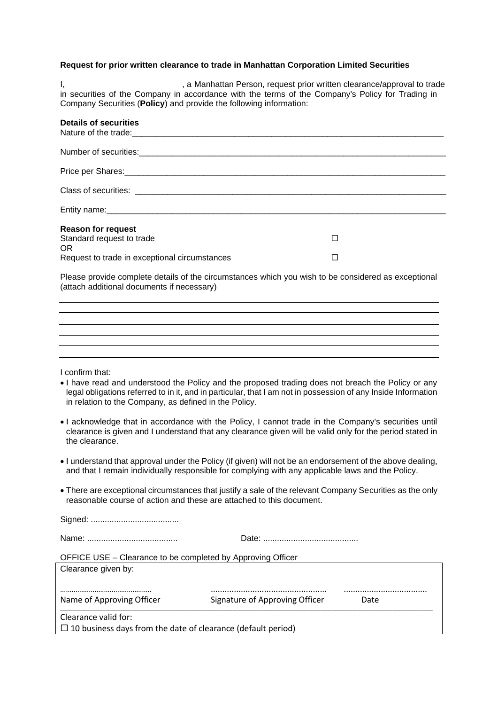### **Request for prior written clearance to trade in Manhattan Corporation Limited Securities**

Company Securities (**Policy**) and provide the following information: in securities of the Company in accordance with the terms of the Company's Policy for Trading in I, state of the Manhattan Person, request prior written clearance/approval to trade

| <b>Details of securities</b>                         |  |
|------------------------------------------------------|--|
|                                                      |  |
|                                                      |  |
|                                                      |  |
|                                                      |  |
| <b>Reason for request</b>                            |  |
| Standard request to trade                            |  |
| OR.<br>Request to trade in exceptional circumstances |  |
|                                                      |  |

Please provide complete details of the circumstances which you wish to be considered as exceptional (attach additional documents if necessary)

| I confirm that: |  |
|-----------------|--|

- I have read and understood the Policy and the proposed trading does not breach the Policy or any legal obligations referred to in it, and in particular, that I am not in possession of any Inside Information in relation to the Company, as defined in the Policy.
- I acknowledge that in accordance with the Policy, I cannot trade in the Company's securities until clearance is given and I understand that any clearance given will be valid only for the period stated in the clearance.
- I understand that approval under the Policy (if given) will not be an endorsement of the above dealing, and that I remain individually responsible for complying with any applicable laws and the Policy.
- There are exceptional circumstances that justify a sale of the relevant Company Securities as the only reasonable course of action and these are attached to this document.

| OFFICE USE – Clearance to be completed by Approving Officer |  |
|-------------------------------------------------------------|--|
| Clearance given by:                                         |  |

| Name of Approving Officer | Signature of Approving Officer |  |
|---------------------------|--------------------------------|--|

Clearance valid for:

 $\Box$  10 business days from the date of clearance (default period)